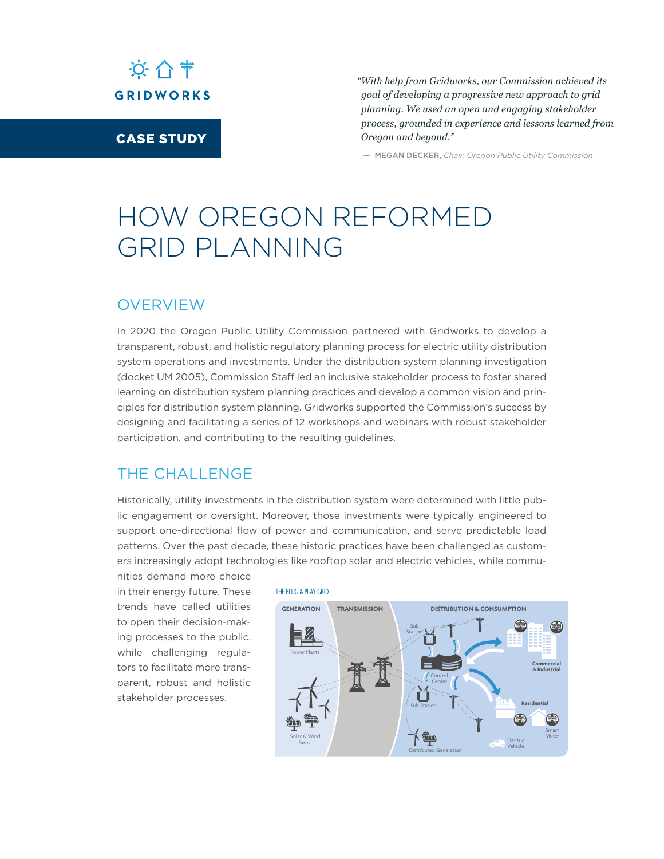

CASE STUDY

*"With help from Gridworks, our Commission achieved its goal of developing a progressive new approach to grid planning. We used an open and engaging stakeholder process, grounded in experience and lessons learned from Oregon and beyond."* 

— MEGAN DECKER, *Chair, Oregon Public Utility Commission*

# HOW OREGON REFORMED GRID PLANNING

#### **OVERVIEW**

In 2020 the Oregon Public Utility Commission partnered with Gridworks to develop a transparent, robust, and holistic regulatory planning process for electric utility distribution system operations and investments. Under the distribution system planning investigation (docket UM 2005), Commission Staff led an inclusive stakeholder process to foster shared learning on distribution system planning practices and develop a common vision and principles for distribution system planning. Gridworks supported the Commission's success by designing and facilitating a series of 12 workshops and webinars with robust stakeholder participation, and contributing to the resulting guidelines.

### THE CHALLENGE

Historically, utility investments in the distribution system were determined with little public engagement or oversight. Moreover, those investments were typically engineered to support one-directional flow of power and communication, and serve predictable load patterns. Over the past decade, these historic practices have been challenged as customers increasingly adopt technologies like rooftop solar and electric vehicles, while commu-

nities demand more choice in their energy future. These trends have called utilities to open their decision-making processes to the public, while challenging regulators to facilitate more transparent, robust and holistic stakeholder processes.